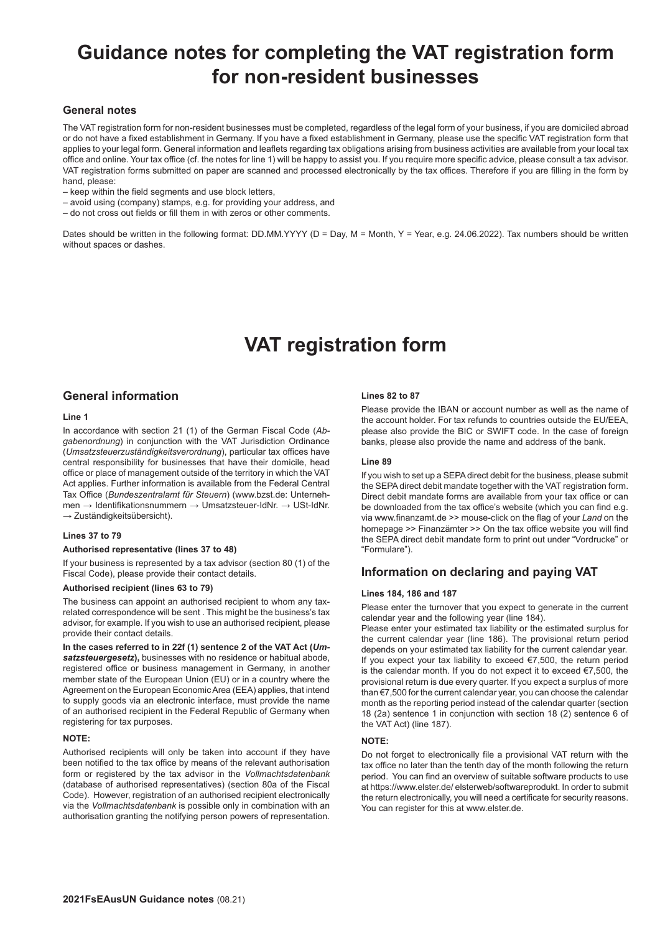# **Guidance notes for completing the VAT registration form for non-resident businesses**

## **General notes**

The VAT registration form for non-resident businesses must be completed, regardless of the legal form of your business, if you are domiciled abroad or do not have a fixed establishment in Germany. If you have a fixed establishment in Germany, please use the specific VAT registration form that applies to your legal form. General information and leaflets regarding tax obligations arising from business activities are available from your local tax office and online. Your tax office (cf. the notes for line 1) will be happy to assist you. If you require more specific advice, please consult a tax advisor. VAT registration forms submitted on paper are scanned and processed electronically by the tax offices. Therefore if you are filling in the form by hand, please:

- keep within the field segments and use block letters,
- avoid using (company) stamps, e.g. for providing your address, and
- do not cross out fields or fill them in with zeros or other comments.

Dates should be written in the following format: DD.MM.YYYY (D = Day, M = Month, Y = Year, e.g. 24.06.2022). Tax numbers should be written without spaces or dashes.

# **VAT registration form**

# **General information**

#### **Line 1**

In accordance with section 21 (1) of the German Fiscal Code (*Abgabenordnung*) in conjunction with the VAT Jurisdiction Ordinance (*Umsatzsteuerzuständigkeitsverordnung*), particular tax offices have central responsibility for businesses that have their domicile, head office or place of management outside of the territory in which the VAT Act applies. Further information is available from the Federal Central Tax Office (*Bundeszentralamt für Steuern*) (www.bzst.de: Unternehmen → Identifikationsnummern → Umsatzsteuer-IdNr. → USt-IdNr.  $\rightarrow$  Zuständigkeitsübersicht).

### **Lines 37 to 79**

#### **Authorised representative (lines 37 to 48)**

If your business is represented by a tax advisor (section 80 (1) of the Fiscal Code), please provide their contact details.

## **Authorised recipient (lines 63 to 79)**

The business can appoint an authorised recipient to whom any taxrelated correspondence will be sent . This might be the business's tax advisor, for example. If you wish to use an authorised recipient, please provide their contact details.

**In the cases referred to in 22f (1) sentence 2 of the VAT Act (***Umsatzsteuergesetz***),** businesses with no residence or habitual abode, registered office or business management in Germany, in another member state of the European Union (EU) or in a country where the Agreement on the European Economic Area (EEA) applies, that intend to supply goods via an electronic interface, must provide the name of an authorised recipient in the Federal Republic of Germany when registering for tax purposes.

#### **NOTE:**

Authorised recipients will only be taken into account if they have been notified to the tax office by means of the relevant authorisation form or registered by the tax advisor in the *Vollmachtsdatenbank* (database of authorised representatives) (section 80a of the Fiscal Code). However, registration of an authorised recipient electronically via the *Vollmachtsdatenbank* is possible only in combination with an authorisation granting the notifying person powers of representation.

#### **Lines 82 to 87**

Please provide the IBAN or account number as well as the name of the account holder. For tax refunds to countries outside the EU/EEA, please also provide the BIC or SWIFT code. In the case of foreign banks, please also provide the name and address of the bank.

#### **Line 89**

If you wish to set up a SEPA direct debit for the business, please submit the SEPA direct debit mandate together with the VAT registration form. Direct debit mandate forms are available from your tax office or can be downloaded from the tax office's website (which you can find e.g. via www.finanzamt.de >> mouse-click on the flag of your *Land* on the homepage >> Finanzämter >> On the tax office website you will find the SEPA direct debit mandate form to print out under "Vordrucke" or "Formulare").

# **Information on declaring and paying VAT**

#### **Lines 184, 186 and 187**

Please enter the turnover that you expect to generate in the current calendar year and the following year (line 184).

Please enter your estimated tax liability or the estimated surplus for the current calendar year (line 186). The provisional return period depends on your estimated tax liability for the current calendar year. If you expect your tax liability to exceed €7,500, the return period is the calendar month. If you do not expect it to exceed €7,500, the provisional return is due every quarter. If you expect a surplus of more than €7,500 for the current calendar year, you can choose the calendar month as the reporting period instead of the calendar quarter (section 18 (2a) sentence 1 in conjunction with section 18 (2) sentence 6 of the VAT Act) (line 187).

#### **NOTE:**

Do not forget to electronically file a provisional VAT return with the tax office no later than the tenth day of the month following the return period. You can find an overview of suitable software products to use at https://www.elster.de/ elsterweb/softwareprodukt. In order to submit the return electronically, you will need a certificate for security reasons. You can register for this at www.elster.de.